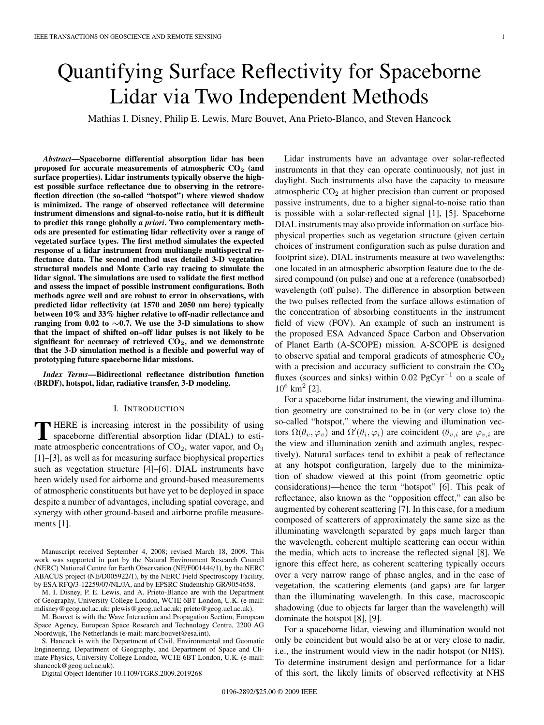# Quantifying Surface Reflectivity for Spaceborne Lidar via Two Independent Methods

Mathias I. Disney, Philip E. Lewis, Marc Bouvet, Ana Prieto-Blanco, and Steven Hancock

*Abstract***—Spaceborne differential absorption lidar has been proposed for accurate measurements of atmospheric CO<sup>2</sup> (and surface properties). Lidar instruments typically observe the highest possible surface reflectance due to observing in the retroreflection direction (the so-called "hotspot") where viewed shadow is minimized. The range of observed reflectance will determine instrument dimensions and signal-to-noise ratio, but it is difficult to predict this range globally** *a priori***. Two complementary methods are presented for estimating lidar reflectivity over a range of vegetated surface types. The first method simulates the expected response of a lidar instrument from multiangle multispectral reflectance data. The second method uses detailed 3-D vegetation structural models and Monte Carlo ray tracing to simulate the lidar signal. The simulations are used to validate the first method and assess the impact of possible instrument configurations. Both methods agree well and are robust to error in observations, with predicted lidar reflectivity (at 1570 and 2050 nm here) typically between 10% and 33% higher relative to off-nadir reflectance and ranging from 0.02 to** *∼***0.7. We use the 3-D simulations to show that the impact of shifted on–off lidar pulses is not likely to be significant for accuracy of retrieved CO2, and we demonstrate that the 3-D simulation method is a flexible and powerful way of prototyping future spaceborne lidar missions.**

*Index Terms***—Bidirectional reflectance distribution function (BRDF), hotspot, lidar, radiative transfer, 3-D modeling.**

#### I. INTRODUCTION

**T** HERE is increasing interest in the possibility of using spaceborne differential absorption lidar (DIAL) to estimate atmospheric concentrations of  $CO<sub>2</sub>$ , water vapor, and  $O<sub>3</sub>$ [1]–[3], as well as for measuring surface biophysical properties such as vegetation structure [4]–[6]. DIAL instruments have been widely used for airborne and ground-based measurements of atmospheric constituents but have yet to be deployed in space despite a number of advantages, including spatial coverage, and synergy with other ground-based and airborne profile measurements [1].

Manuscript received September 4, 2008; revised March 18, 2009. This work was supported in part by the Natural Environment Research Council (NERC) National Centre for Earth Observation (NE/F001444/1), by the NERC ABACUS project (NE/D005922/1), by the NERC Field Spectroscopy Facility, by ESA RFQ/3-12259/07/NL/JA, and by EPSRC Studentship GR/9054658.

M. I. Disney, P. E. Lewis, and A. Prieto-Blanco are with the Department of Geography, University College London, WC1E 6BT London, U.K. (e-mail: mdisney@geog.ucl.ac.uk; plewis@geog.ucl.ac.uk; prieto@geog.ucl.ac.uk).

M. Bouvet is with the Wave Interaction and Propagation Section, European Space Agency, European Space Research and Technology Centre, 2200 AG Noordwijk, The Netherlands (e-mail: marc.bouvet@esa.int).

S. Hancock is with the Department of Civil, Environmental and Geomatic Engineering, Department of Geography, and Department of Space and Climate Physics, University College London, WC1E 6BT London, U.K. (e-mail: shancock@geog.ucl.ac.uk).

Digital Object Identifier 10.1109/TGRS.2009.2019268

Lidar instruments have an advantage over solar-reflected instruments in that they can operate continuously, not just in daylight. Such instruments also have the capacity to measure atmospheric CO<sub>2</sub> at higher precision than current or proposed passive instruments, due to a higher signal-to-noise ratio than is possible with a solar-reflected signal [1], [5]. Spaceborne DIAL instruments may also provide information on surface biophysical properties such as vegetation structure (given certain choices of instrument configuration such as pulse duration and footprint size). DIAL instruments measure at two wavelengths: one located in an atmospheric absorption feature due to the desired compound (on pulse) and one at a reference (unabsorbed) wavelength (off pulse). The difference in absorption between the two pulses reflected from the surface allows estimation of the concentration of absorbing constituents in the instrument field of view (FOV). An example of such an instrument is the proposed ESA Advanced Space Carbon and Observation of Planet Earth (A-SCOPE) mission. A-SCOPE is designed to observe spatial and temporal gradients of atmospheric  $CO<sub>2</sub>$ with a precision and accuracy sufficient to constrain the  $CO<sub>2</sub>$ fluxes (sources and sinks) within 0.02 PgCyr<sup>-1</sup> on a scale of  $10^6$  km<sup>2</sup> [2].

For a spaceborne lidar instrument, the viewing and illumination geometry are constrained to be in (or very close to) the so-called "hotspot," where the viewing and illumination vectors  $\Omega(\theta_v, \varphi_v)$  and  $\Omega'(\theta_i, \varphi_i)$  are coincident  $(\theta_{v,i}$  are  $\varphi_{v,i}$  are the view and illumination zenith and azimuth angles, respectively). Natural surfaces tend to exhibit a peak of reflectance at any hotspot configuration, largely due to the minimization of shadow viewed at this point (from geometric optic considerations)—hence the term "hotspot" [6]. This peak of reflectance, also known as the "opposition effect," can also be augmented by coherent scattering [7]. In this case, for a medium composed of scatterers of approximately the same size as the illuminating wavelength separated by gaps much larger than the wavelength, coherent multiple scattering can occur within the media, which acts to increase the reflected signal [8]. We ignore this effect here, as coherent scattering typically occurs over a very narrow range of phase angles, and in the case of vegetation, the scattering elements (and gaps) are far larger than the illuminating wavelength. In this case, macroscopic shadowing (due to objects far larger than the wavelength) will dominate the hotspot [8], [9].

For a spaceborne lidar, viewing and illumination would not only be coincident but would also be at or very close to nadir, i.e., the instrument would view in the nadir hotspot (or NHS). To determine instrument design and performance for a lidar of this sort, the likely limits of observed reflectivity at NHS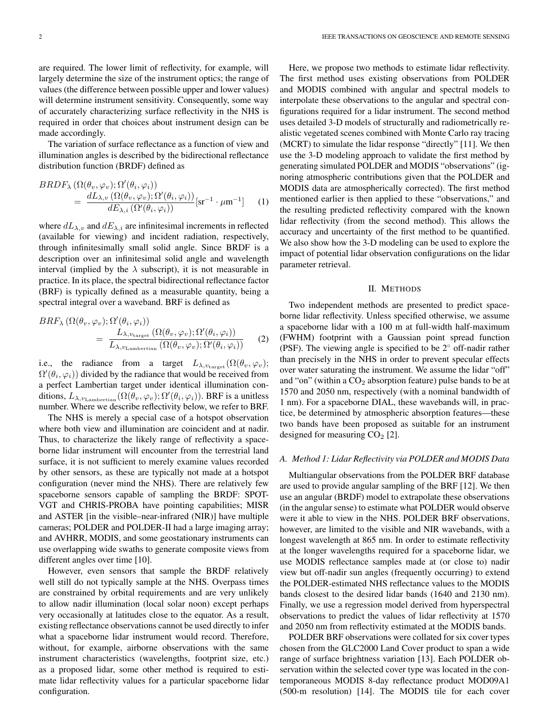are required. The lower limit of reflectivity, for example, will largely determine the size of the instrument optics; the range of values (the difference between possible upper and lower values) will determine instrument sensitivity. Consequently, some way of accurately characterizing surface reflectivity in the NHS is required in order that choices about instrument design can be made accordingly.

The variation of surface reflectance as a function of view and illumination angles is described by the bidirectional reflectance distribution function (BRDF) defined as

$$
BRDF_{\lambda} (\Omega(\theta_v, \varphi_v); \Omega'(\theta_i, \varphi_i))
$$
  
= 
$$
\frac{dL_{\lambda, v} (\Omega(\theta_v, \varphi_v); \Omega'(\theta_i, \varphi_i))}{dE_{\lambda, i} (\Omega'(\theta_i, \varphi_i))} [\text{sr}^{-1} \cdot \mu \text{m}^{-1}]
$$
 (1)

where  $dL_{\lambda,v}$  and  $dE_{\lambda,i}$  are infinitesimal increments in reflected (available for viewing) and incident radiation, respectively, through infinitesimally small solid angle. Since BRDF is a description over an infinitesimal solid angle and wavelength interval (implied by the  $\lambda$  subscript), it is not measurable in practice. In its place, the spectral bidirectional reflectance factor (BRF) is typically defined as a measurable quantity, being a spectral integral over a waveband. BRF is defined as

$$
BRF_{\lambda} (\Omega(\theta_v, \varphi_v); \Omega'(\theta_i, \varphi_i))
$$
  
= 
$$
\frac{L_{\lambda, v_{\text{target}}} (\Omega(\theta_v, \varphi_v); \Omega'(\theta_i, \varphi_i))}{L_{\lambda, v_{\text{Lambertian}}} (\Omega(\theta_v, \varphi_v); \Omega'(\theta_i, \varphi_i))}
$$
 (2)

i.e., the radiance from a target  $L_{\lambda,v_{\text{target}}}(\Omega(\theta_v,\varphi_v);$  $\Omega'(\theta_i,\varphi_i))$  divided by the radiance that would be received from a perfect Lambertian target under identical illumination conditions,  $L_{\lambda, v_{\text{Lambertian}}}(\Omega(\theta_v, \varphi_v); \Omega'(\theta_i, \varphi_i))$ . BRF is a unitless number. Where we describe reflectivity below, we refer to BRF.

The NHS is merely a special case of a hotspot observation where both view and illumination are coincident and at nadir. Thus, to characterize the likely range of reflectivity a spaceborne lidar instrument will encounter from the terrestrial land surface, it is not sufficient to merely examine values recorded by other sensors, as these are typically not made at a hotspot configuration (never mind the NHS). There are relatively few spaceborne sensors capable of sampling the BRDF: SPOT-VGT and CHRIS-PROBA have pointing capabilities; MISR and ASTER [in the visible–near-infrared (NIR)] have multiple cameras; POLDER and POLDER-II had a large imaging array; and AVHRR, MODIS, and some geostationary instruments can use overlapping wide swaths to generate composite views from different angles over time [10].

However, even sensors that sample the BRDF relatively well still do not typically sample at the NHS. Overpass times are constrained by orbital requirements and are very unlikely to allow nadir illumination (local solar noon) except perhaps very occasionally at latitudes close to the equator. As a result, existing reflectance observations cannot be used directly to infer what a spaceborne lidar instrument would record. Therefore, without, for example, airborne observations with the same instrument characteristics (wavelengths, footprint size, etc.) as a proposed lidar, some other method is required to estimate lidar reflectivity values for a particular spaceborne lidar configuration.

Here, we propose two methods to estimate lidar reflectivity. The first method uses existing observations from POLDER and MODIS combined with angular and spectral models to interpolate these observations to the angular and spectral configurations required for a lidar instrument. The second method uses detailed 3-D models of structurally and radiometrically realistic vegetated scenes combined with Monte Carlo ray tracing (MCRT) to simulate the lidar response "directly" [11]. We then use the 3-D modeling approach to validate the first method by generating simulated POLDER and MODIS "observations" (ignoring atmospheric contributions given that the POLDER and MODIS data are atmospherically corrected). The first method mentioned earlier is then applied to these "observations," and the resulting predicted reflectivity compared with the known lidar reflectivity (from the second method). This allows the accuracy and uncertainty of the first method to be quantified. We also show how the 3-D modeling can be used to explore the impact of potential lidar observation configurations on the lidar parameter retrieval.

#### II. METHODS

Two independent methods are presented to predict spaceborne lidar reflectivity. Unless specified otherwise, we assume a spaceborne lidar with a 100 m at full-width half-maximum (FWHM) footprint with a Gaussian point spread function (PSF). The viewing angle is specified to be 2◦ off-nadir rather than precisely in the NHS in order to prevent specular effects over water saturating the instrument. We assume the lidar "off" and "on" (within a  $CO<sub>2</sub>$  absorption feature) pulse bands to be at 1570 and 2050 nm, respectively (with a nominal bandwidth of 1 nm). For a spaceborne DIAL, these wavebands will, in practice, be determined by atmospheric absorption features—these two bands have been proposed as suitable for an instrument designed for measuring  $CO<sub>2</sub>$  [2].

### *A. Method 1: Lidar Reflectivity via POLDER and MODIS Data*

Multiangular observations from the POLDER BRF database are used to provide angular sampling of the BRF [12]. We then use an angular (BRDF) model to extrapolate these observations (in the angular sense) to estimate what POLDER would observe were it able to view in the NHS. POLDER BRF observations, however, are limited to the visible and NIR wavebands, with a longest wavelength at 865 nm. In order to estimate reflectivity at the longer wavelengths required for a spaceborne lidar, we use MODIS reflectance samples made at (or close to) nadir view but off-nadir sun angles (frequently occurring) to extend the POLDER-estimated NHS reflectance values to the MODIS bands closest to the desired lidar bands (1640 and 2130 nm). Finally, we use a regression model derived from hyperspectral observations to predict the values of lidar reflectivity at 1570 and 2050 nm from reflectivity estimated at the MODIS bands.

POLDER BRF observations were collated for six cover types chosen from the GLC2000 Land Cover product to span a wide range of surface brightness variation [13]. Each POLDER observation within the selected cover type was located in the contemporaneous MODIS 8-day reflectance product MOD09A1 (500-m resolution) [14]. The MODIS tile for each cover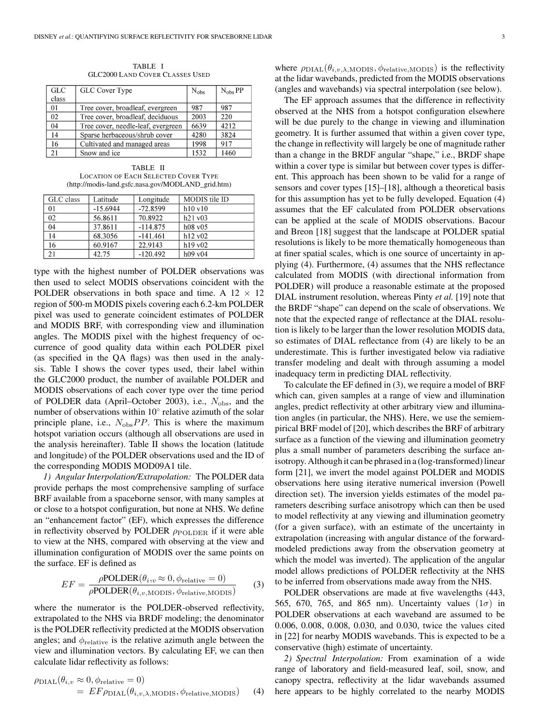TABLE I GLC2000 LAND COVER CLASSES USED

| <b>GLC</b> | GLC Cover Type                     | $N_{obs}$ | $N_{obs}$ PP |
|------------|------------------------------------|-----------|--------------|
| class      |                                    |           |              |
| 01         | Tree cover, broadleaf, evergreen   | 987       | 987          |
| 02         | Tree cover, broadleaf, deciduous   | 2003      | 220          |
| 04         | Tree cover, needle-leaf, evergreen | 6639      | 4212         |
| 14         | Sparse herbaceous/shrub cover      | 4280      | 3824         |
| 16         | Cultivated and managed areas       | 1998      | 917          |
| 21         | Snow and ice                       | 1532      | 1460         |

TABLE II LOCATION OF EACH SELECTED COVER TYPE (http://modis-land.gsfc.nasa.gov/MODLAND\_grid.htm)

| GLC class | Latitude   | Longitude  | MODIS tile ID |
|-----------|------------|------------|---------------|
| 01        | $-15.6944$ | $-72.8599$ | h10v10        |
| 02        | 56.8611    | 70.8922    | h21v03        |
| 04        | 37.8611    | $-114.875$ | $h08$ v $05$  |
| 14        | 68.3056    | $-141.461$ | h12v02        |
| 16        | 60.9167    | 22.9143    | h19v02        |
| 21        | 42.75      | $-120.492$ | $h09$ v $04$  |

type with the highest number of POLDER observations was then used to select MODIS observations coincident with the POLDER observations in both space and time. A  $12 \times 12$ region of 500-m MODIS pixels covering each 6.2-km POLDER pixel was used to generate coincident estimates of POLDER and MODIS BRF, with corresponding view and illumination angles. The MODIS pixel with the highest frequency of occurrence of good quality data within each POLDER pixel (as specified in the QA flags) was then used in the analysis. Table I shows the cover types used, their label within the GLC2000 product, the number of available POLDER and MODIS observations of each cover type over the time period of POLDER data (April–October 2003), i.e.,  $N_{\text{obs}}$ , and the number of observations within 10◦ relative azimuth of the solar principle plane, i.e.,  $N_{\text{obs}}PP$ . This is where the maximum hotspot variation occurs (although all observations are used in the analysis hereinafter). Table II shows the location (latitude and longitude) of the POLDER observations used and the ID of the corresponding MODIS MOD09A1 tile.

*1) Angular Interpolation/Extrapolation:* The POLDER data provide perhaps the most comprehensive sampling of surface BRF available from a spaceborne sensor, with many samples at or close to a hotspot configuration, but none at NHS. We define an "enhancement factor" (EF), which expresses the difference in reflectivity observed by POLDER  $\rho_{\text{POLDER}}$  if it were able to view at the NHS, compared with observing at the view and illumination configuration of MODIS over the same points on the surface. EF is defined as

$$
EF = \frac{\rho \text{POLDER}(\theta_{i,v} \approx 0, \phi_{\text{relative}} = 0)}{\rho \text{POLDER}(\theta_{i,v,\text{MODIS}}, \phi_{\text{relative,MODIS}})} \tag{3}
$$

where the numerator is the POLDER-observed reflectivity, extrapolated to the NHS via BRDF modeling; the denominator is the POLDER reflectivity predicted at the MODIS observation angles; and  $\phi_{\text{relative}}$  is the relative azimuth angle between the view and illumination vectors. By calculating EF, we can then calculate lidar reflectivity as follows:

$$
\rho_{\text{DIAL}}(\theta_{i,v} \approx 0, \phi_{\text{relative}} = 0)
$$
  
=  $EF \rho_{\text{DIAL}}(\theta_{i,v,\lambda,\text{MODIS}}, \phi_{\text{relative},\text{MODIS}})$  (4)

where  $\rho_{\text{DIAL}}(\theta_{i,v,\lambda,\text{MODIS}}, \phi_{\text{relative,MODIS}})$  is the reflectivity at the lidar wavebands, predicted from the MODIS observations (angles and wavebands) via spectral interpolation (see below).

The EF approach assumes that the difference in reflectivity observed at the NHS from a hotspot configuration elsewhere will be due purely to the change in viewing and illumination geometry. It is further assumed that within a given cover type, the change in reflectivity will largely be one of magnitude rather than a change in the BRDF angular "shape," i.e., BRDF shape within a cover type is similar but between cover types is different. This approach has been shown to be valid for a range of sensors and cover types [15]–[18], although a theoretical basis for this assumption has yet to be fully developed. Equation (4) assumes that the EF calculated from POLDER observations can be applied at the scale of MODIS observations. Bacour and Breon [18] suggest that the landscape at POLDER spatial resolutions is likely to be more thematically homogeneous than at finer spatial scales, which is one source of uncertainty in applying (4). Furthermore, (4) assumes that the NHS reflectance calculated from MODIS (with directional information from POLDER) will produce a reasonable estimate at the proposed DIAL instrument resolution, whereas Pinty *et al.* [19] note that the BRDF "shape" can depend on the scale of observations. We note that the expected range of reflectance at the DIAL resolution is likely to be larger than the lower resolution MODIS data, so estimates of DIAL reflectance from (4) are likely to be an underestimate. This is further investigated below via radiative transfer modeling and dealt with through assuming a model inadequacy term in predicting DIAL reflectivity.

To calculate the EF defined in (3), we require a model of BRF which can, given samples at a range of view and illumination angles, predict reflectivity at other arbitrary view and illumination angles (in particular, the NHS). Here, we use the semiempirical BRF model of [20], which describes the BRF of arbitrary surface as a function of the viewing and illumination geometry plus a small number of parameters describing the surface anisotropy. Although it can be phrased in a (log-transformed) linear form [21], we invert the model against POLDER and MODIS observations here using iterative numerical inversion (Powell direction set). The inversion yields estimates of the model parameters describing surface anisotropy which can then be used to model reflectivity at any viewing and illumination geometry (for a given surface), with an estimate of the uncertainty in extrapolation (increasing with angular distance of the forwardmodeled predictions away from the observation geometry at which the model was inverted). The application of the angular model allows predictions of POLDER reflectivity at the NHS to be inferred from observations made away from the NHS.

POLDER observations are made at five wavelengths (443, 565, 670, 765, and 865 nm). Uncertainty values  $(1\sigma)$  in POLDER observations at each waveband are assumed to be 0.006, 0.008, 0.008, 0.030, and 0.030, twice the values cited in [22] for nearby MODIS wavebands. This is expected to be a conservative (high) estimate of uncertainty.

*2) Spectral Interpolation:* From examination of a wide range of laboratory and field-measured leaf, soil, snow, and canopy spectra, reflectivity at the lidar wavebands assumed here appears to be highly correlated to the nearby MODIS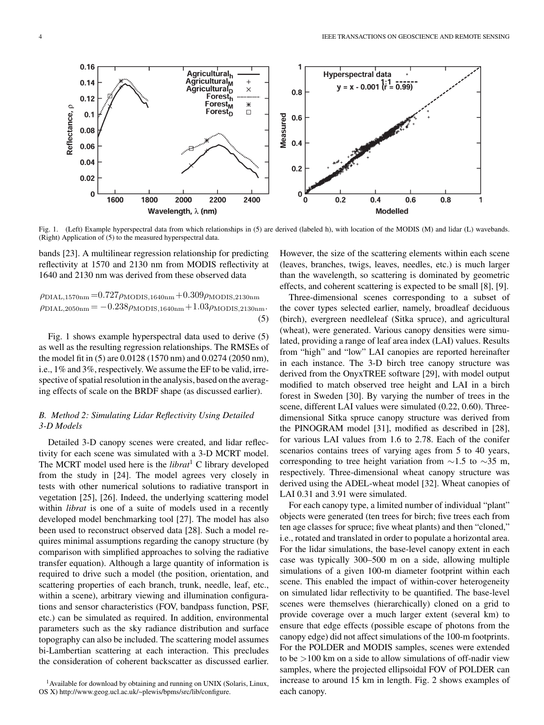$0.16$ 1 Agricultural<sub>h</sub> Hyperspectral data Agricultural<sub>M</sub>  $0.14$  $y = x - 0.001 \left( \frac{1}{1} \right) = 0.99$ Agricultural<sub>D</sub>  $\times$  $0.8$ Forest<sub>h</sub>  $0.12$ Forest<sub>M</sub>  $*$ Reflectance, p Forest<sub>D</sub> ö  $0.1$ Measured  $0.6$ 0.08  $0.4$ 0.06 0.04  $0.2$ 0.02  $\mathbf 0$  $\mathbf 0$ 2400  $0.2$  $0.4$ 1600 1800 2000 2200  $\bf{0}$  $0.6$  $0.8$ 1 Wavelength,  $\lambda$  (nm) **Modelled** 

Fig. 1. (Left) Example hyperspectral data from which relationships in (5) are derived (labeled h), with location of the MODIS (M) and lidar (L) wavebands. (Right) Application of (5) to the measured hyperspectral data.

bands [23]. A multilinear regression relationship for predicting reflectivity at 1570 and 2130 nm from MODIS reflectivity at 1640 and 2130 nm was derived from these observed data

 $\rho_{\text{DIAL},1570nm} = 0.727 \rho_{\text{MODIS},1640nm} + 0.309 \rho_{\text{MODIS},2130nm}$  $\rho_{\text{DIAL},2050nm} = -0.238\rho_{\text{MODIS},1640nm} + 1.03\rho_{\text{MODIS},2130nm}$ (5)

Fig. 1 shows example hyperspectral data used to derive (5) as well as the resulting regression relationships. The RMSEs of the model fit in (5) are 0.0128 (1570 nm) and 0.0274 (2050 nm), i.e., 1% and 3%, respectively. We assume the EF to be valid, irrespective of spatial resolution in the analysis, based on the averaging effects of scale on the BRDF shape (as discussed earlier).

## *B. Method 2: Simulating Lidar Reflectivity Using Detailed 3-D Models*

Detailed 3-D canopy scenes were created, and lidar reflectivity for each scene was simulated with a 3-D MCRT model. The MCRT model used here is the *librat*<sup>1</sup> C library developed from the study in [24]. The model agrees very closely in tests with other numerical solutions to radiative transport in vegetation [25], [26]. Indeed, the underlying scattering model within *librat* is one of a suite of models used in a recently developed model benchmarking tool [27]. The model has also been used to reconstruct observed data [28]. Such a model requires minimal assumptions regarding the canopy structure (by comparison with simplified approaches to solving the radiative transfer equation). Although a large quantity of information is required to drive such a model (the position, orientation, and scattering properties of each branch, trunk, needle, leaf, etc., within a scene), arbitrary viewing and illumination configurations and sensor characteristics (FOV, bandpass function, PSF, etc.) can be simulated as required. In addition, environmental parameters such as the sky radiance distribution and surface topography can also be included. The scattering model assumes bi-Lambertian scattering at each interaction. This precludes the consideration of coherent backscatter as discussed earlier. However, the size of the scattering elements within each scene (leaves, branches, twigs, leaves, needles, etc.) is much larger than the wavelength, so scattering is dominated by geometric effects, and coherent scattering is expected to be small [8], [9].

Three-dimensional scenes corresponding to a subset of the cover types selected earlier, namely, broadleaf deciduous (birch), evergreen needleleaf (Sitka spruce), and agricultural (wheat), were generated. Various canopy densities were simulated, providing a range of leaf area index (LAI) values. Results from "high" and "low" LAI canopies are reported hereinafter in each instance. The 3-D birch tree canopy structure was derived from the OnyxTREE software [29], with model output modified to match observed tree height and LAI in a birch forest in Sweden [30]. By varying the number of trees in the scene, different LAI values were simulated (0.22, 0.60). Threedimensional Sitka spruce canopy structure was derived from the PINOGRAM model [31], modified as described in [28], for various LAI values from 1.6 to 2.78. Each of the conifer scenarios contains trees of varying ages from 5 to 40 years, corresponding to tree height variation from  $\sim$ 1.5 to  $\sim$ 35 m, respectively. Three-dimensional wheat canopy structure was derived using the ADEL-wheat model [32]. Wheat canopies of LAI 0.31 and 3.91 were simulated.

For each canopy type, a limited number of individual "plant" objects were generated (ten trees for birch; five trees each from ten age classes for spruce; five wheat plants) and then "cloned," i.e., rotated and translated in order to populate a horizontal area. For the lidar simulations, the base-level canopy extent in each case was typically 300–500 m on a side, allowing multiple simulations of a given 100-m diameter footprint within each scene. This enabled the impact of within-cover heterogeneity on simulated lidar reflectivity to be quantified. The base-level scenes were themselves (hierarchically) cloned on a grid to provide coverage over a much larger extent (several km) to ensure that edge effects (possible escape of photons from the canopy edge) did not affect simulations of the 100-m footprints. For the POLDER and MODIS samples, scenes were extended to be >100 km on a side to allow simulations of off-nadir view samples, where the projected ellipsoidal FOV of POLDER can increase to around 15 km in length. Fig. 2 shows examples of each canopy.

<sup>&</sup>lt;sup>1</sup> Available for download by obtaining and running on UNIX (Solaris, Linux, OS X) http://www.geog.ucl.ac.uk/~plewis/bpms/src/lib/configure.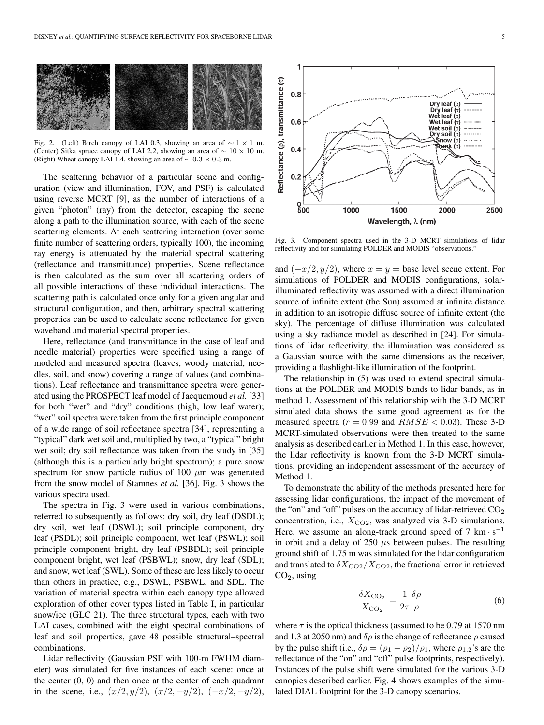

Fig. 2. (Left) Birch canopy of LAI 0.3, showing an area of  $\sim 1 \times 1$  m. (Center) Sitka spruce canopy of LAI 2.2, showing an area of ∼ 10 × 10 m. (Right) Wheat canopy LAI 1.4, showing an area of  $\sim 0.3 \times 0.3$  m.

The scattering behavior of a particular scene and configuration (view and illumination, FOV, and PSF) is calculated using reverse MCRT [9], as the number of interactions of a given "photon" (ray) from the detector, escaping the scene along a path to the illumination source, with each of the scene scattering elements. At each scattering interaction (over some finite number of scattering orders, typically 100), the incoming ray energy is attenuated by the material spectral scattering (reflectance and transmittance) properties. Scene reflectance is then calculated as the sum over all scattering orders of all possible interactions of these individual interactions. The scattering path is calculated once only for a given angular and structural configuration, and then, arbitrary spectral scattering properties can be used to calculate scene reflectance for given waveband and material spectral properties.

Here, reflectance (and transmittance in the case of leaf and needle material) properties were specified using a range of modeled and measured spectra (leaves, woody material, needles, soil, and snow) covering a range of values (and combinations). Leaf reflectance and transmittance spectra were generated using the PROSPECT leaf model of Jacquemoud *et al.* [33] for both "wet" and "dry" conditions (high, low leaf water); "wet" soil spectra were taken from the first principle component of a wide range of soil reflectance spectra [34], representing a "typical" dark wet soil and, multiplied by two, a "typical" bright wet soil; dry soil reflectance was taken from the study in [35] (although this is a particularly bright spectrum); a pure snow spectrum for snow particle radius of 100  $\mu$ m was generated from the snow model of Stamnes *et al.* [36]. Fig. 3 shows the various spectra used.

The spectra in Fig. 3 were used in various combinations, referred to subsequently as follows: dry soil, dry leaf (DSDL); dry soil, wet leaf (DSWL); soil principle component, dry leaf (PSDL); soil principle component, wet leaf (PSWL); soil principle component bright, dry leaf (PSBDL); soil principle component bright, wet leaf (PSBWL); snow, dry leaf (SDL); and snow, wet leaf (SWL). Some of these are less likely to occur than others in practice, e.g., DSWL, PSBWL, and SDL. The variation of material spectra within each canopy type allowed exploration of other cover types listed in Table I, in particular snow/ice (GLC 21). The three structural types, each with two LAI cases, combined with the eight spectral combinations of leaf and soil properties, gave 48 possible structural–spectral combinations.

Lidar reflectivity (Gaussian PSF with 100-m FWHM diameter) was simulated for five instances of each scene: once at the center  $(0, 0)$  and then once at the center of each quadrant in the scene, i.e.,  $(x/2, y/2)$ ,  $(x/2, -y/2)$ ,  $(-x/2, -y/2)$ ,



Fig. 3. Component spectra used in the 3-D MCRT simulations of lidar reflectivity and for simulating POLDER and MODIS "observations."

and  $(-x/2, y/2)$ , where  $x = y$  = base level scene extent. For simulations of POLDER and MODIS configurations, solarilluminated reflectivity was assumed with a direct illumination source of infinite extent (the Sun) assumed at infinite distance in addition to an isotropic diffuse source of infinite extent (the sky). The percentage of diffuse illumination was calculated using a sky radiance model as described in [24]. For simulations of lidar reflectivity, the illumination was considered as a Gaussian source with the same dimensions as the receiver, providing a flashlight-like illumination of the footprint.

The relationship in (5) was used to extend spectral simulations at the POLDER and MODIS bands to lidar bands, as in method 1. Assessment of this relationship with the 3-D MCRT simulated data shows the same good agreement as for the measured spectra ( $r = 0.99$  and  $RMSE < 0.03$ ). These 3-D MCRT-simulated observations were then treated to the same analysis as described earlier in Method 1. In this case, however, the lidar reflectivity is known from the 3-D MCRT simulations, providing an independent assessment of the accuracy of Method 1.

To demonstrate the ability of the methods presented here for assessing lidar configurations, the impact of the movement of the "on" and "off" pulses on the accuracy of lidar-retrieved  $CO<sub>2</sub>$ concentration, i.e.,  $X_{CO2}$ , was analyzed via 3-D simulations. Here, we assume an along-track ground speed of 7 km  $\cdot$  s<sup>-1</sup> in orbit and a delay of 250  $\mu$ s between pulses. The resulting ground shift of 1.75 m was simulated for the lidar configuration and translated to  $\delta X_{\rm CO2}/X_{\rm CO2}$ , the fractional error in retrieved  $CO<sub>2</sub>$ , using

$$
\frac{\delta X_{\rm CO_2}}{X_{\rm CO_2}} = \frac{1}{2\tau} \frac{\delta \rho}{\rho}
$$
\n(6)

where  $\tau$  is the optical thickness (assumed to be 0.79 at 1570 nm and 1.3 at 2050 nm) and  $\delta \rho$  is the change of reflectance  $\rho$  caused by the pulse shift (i.e.,  $\delta \rho = (\rho_1 - \rho_2)/\rho_1$ , where  $\rho_{1,2}$ 's are the reflectance of the "on" and "off" pulse footprints, respectively). Instances of the pulse shift were simulated for the various 3-D canopies described earlier. Fig. 4 shows examples of the simulated DIAL footprint for the 3-D canopy scenarios.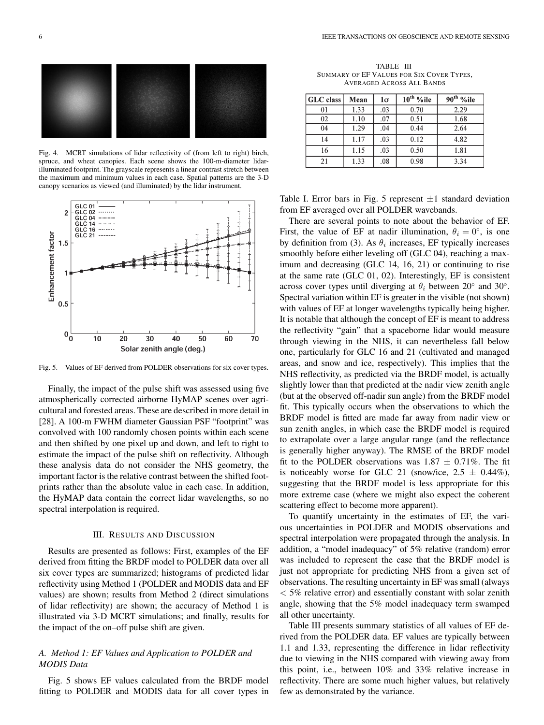

Fig. 4. MCRT simulations of lidar reflectivity of (from left to right) birch, spruce, and wheat canopies. Each scene shows the 100-m-diameter lidarilluminated footprint. The grayscale represents a linear contrast stretch between the maximum and minimum values in each case. Spatial patterns are the 3-D canopy scenarios as viewed (and illuminated) by the lidar instrument.



Fig. 5. Values of EF derived from POLDER observations for six cover types.

Finally, the impact of the pulse shift was assessed using five atmospherically corrected airborne HyMAP scenes over agricultural and forested areas. These are described in more detail in [28]. A 100-m FWHM diameter Gaussian PSF "footprint" was convolved with 100 randomly chosen points within each scene and then shifted by one pixel up and down, and left to right to estimate the impact of the pulse shift on reflectivity. Although these analysis data do not consider the NHS geometry, the important factor is the relative contrast between the shifted footprints rather than the absolute value in each case. In addition, the HyMAP data contain the correct lidar wavelengths, so no spectral interpolation is required.

#### III. RESULTS AND DISCUSSION

Results are presented as follows: First, examples of the EF derived from fitting the BRDF model to POLDER data over all six cover types are summarized; histograms of predicted lidar reflectivity using Method 1 (POLDER and MODIS data and EF values) are shown; results from Method 2 (direct simulations of lidar reflectivity) are shown; the accuracy of Method 1 is illustrated via 3-D MCRT simulations; and finally, results for the impact of the on–off pulse shift are given.

## *A. Method 1: EF Values and Application to POLDER and MODIS Data*

Fig. 5 shows EF values calculated from the BRDF model fitting to POLDER and MODIS data for all cover types in

TABLE III SUMMARY OF EF VALUES FOR SIX COVER TYPES, AVERAGED ACROSS ALL BANDS

| GLC class | Mean | 1σ  | $10^{th}$ %ile | $90th$ %ile |
|-----------|------|-----|----------------|-------------|
| 01        | 1.33 | .03 | 0.70           | 2.29        |
| 02        | 1.10 | .07 | 0.51           | 1.68        |
| 04        | 1.29 | .04 | 0.44           | 2.64        |
| 14        | 1.17 | .03 | 0.12           | 4.82        |
| 16        | 1.15 | .03 | 0.50           | 1.81        |
| 21        | 1.33 | .08 | 0.98           | 3.34        |

Table I. Error bars in Fig. 5 represent  $\pm 1$  standard deviation from EF averaged over all POLDER wavebands.

There are several points to note about the behavior of EF. First, the value of EF at nadir illumination,  $\theta_i = 0^\circ$ , is one by definition from (3). As  $\theta_i$  increases, EF typically increases smoothly before either leveling off (GLC 04), reaching a maximum and decreasing (GLC 14, 16, 21) or continuing to rise at the same rate (GLC 01, 02). Interestingly, EF is consistent across cover types until diverging at  $\theta_i$  between 20° and 30°. Spectral variation within EF is greater in the visible (not shown) with values of EF at longer wavelengths typically being higher. It is notable that although the concept of EF is meant to address the reflectivity "gain" that a spaceborne lidar would measure through viewing in the NHS, it can nevertheless fall below one, particularly for GLC 16 and 21 (cultivated and managed areas, and snow and ice, respectively). This implies that the NHS reflectivity, as predicted via the BRDF model, is actually slightly lower than that predicted at the nadir view zenith angle (but at the observed off-nadir sun angle) from the BRDF model fit. This typically occurs when the observations to which the BRDF model is fitted are made far away from nadir view or sun zenith angles, in which case the BRDF model is required to extrapolate over a large angular range (and the reflectance is generally higher anyway). The RMSE of the BRDF model fit to the POLDER observations was  $1.87 \pm 0.71\%$ . The fit is noticeably worse for GLC 21 (snow/ice,  $2.5 \pm 0.44\%$ ), suggesting that the BRDF model is less appropriate for this more extreme case (where we might also expect the coherent scattering effect to become more apparent).

To quantify uncertainty in the estimates of EF, the various uncertainties in POLDER and MODIS observations and spectral interpolation were propagated through the analysis. In addition, a "model inadequacy" of 5% relative (random) error was included to represent the case that the BRDF model is just not appropriate for predicting NHS from a given set of observations. The resulting uncertainty in EF was small (always < 5% relative error) and essentially constant with solar zenith angle, showing that the 5% model inadequacy term swamped all other uncertainty.

Table III presents summary statistics of all values of EF derived from the POLDER data. EF values are typically between 1.1 and 1.33, representing the difference in lidar reflectivity due to viewing in the NHS compared with viewing away from this point, i.e., between 10% and 33% relative increase in reflectivity. There are some much higher values, but relatively few as demonstrated by the variance.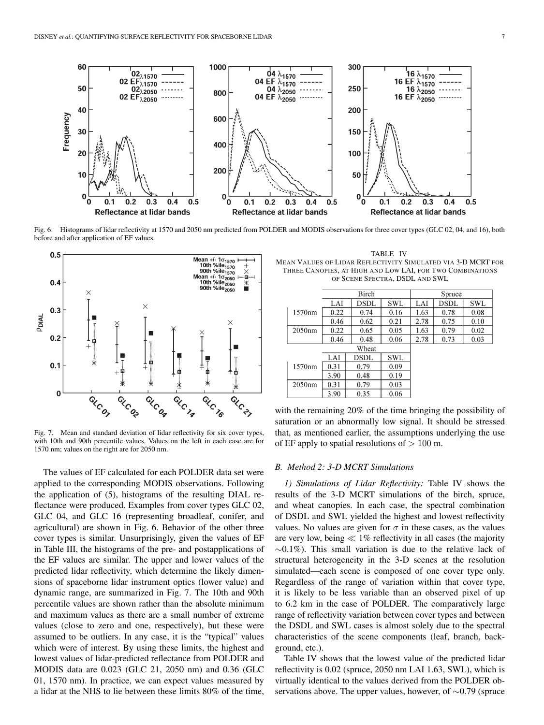

Fig. 6. Histograms of lidar reflectivity at 1570 and 2050 nm predicted from POLDER and MODIS observations for three cover types (GLC 02, 04, and 16), both before and after application of EF values.



Fig. 7. Mean and standard deviation of lidar reflectivity for six cover types, with 10th and 90th percentile values. Values on the left in each case are for 1570 nm; values on the right are for 2050 nm.

The values of EF calculated for each POLDER data set were applied to the corresponding MODIS observations. Following the application of (5), histograms of the resulting DIAL reflectance were produced. Examples from cover types GLC 02, GLC 04, and GLC 16 (representing broadleaf, conifer, and agricultural) are shown in Fig. 6. Behavior of the other three cover types is similar. Unsurprisingly, given the values of EF in Table III, the histograms of the pre- and postapplications of the EF values are similar. The upper and lower values of the predicted lidar reflectivity, which determine the likely dimensions of spaceborne lidar instrument optics (lower value) and dynamic range, are summarized in Fig. 7. The 10th and 90th percentile values are shown rather than the absolute minimum and maximum values as there are a small number of extreme values (close to zero and one, respectively), but these were assumed to be outliers. In any case, it is the "typical" values which were of interest. By using these limits, the highest and lowest values of lidar-predicted reflectance from POLDER and MODIS data are 0.023 (GLC 21, 2050 nm) and 0.36 (GLC 01, 1570 nm). In practice, we can expect values measured by a lidar at the NHS to lie between these limits 80% of the time,

TABLE IV MEAN VALUES OF LIDAR REFLECTIVITY SIMULATED VIA 3-D MCRT FOR THREE CANOPIES, AT HIGH AND LOW LAI, FOR TWO COMBINATIONS OF SCENE SPECTRA, DSDL AND SWL

|        | Birch |      |      | Spruce |             |      |
|--------|-------|------|------|--------|-------------|------|
|        | LAI   | DSDL | SWL  | LAI    | <b>DSDL</b> | SWL  |
| 1570nm | 0.22  | 0.74 | 0.16 | 1.63   | 0.78        | 0.08 |
|        | 0.46  | 0.62 | 0.21 | 2.78   | 0.75        | 0.10 |
| 2050nm | 0.22  | 0.65 | 0.05 | 1.63   | 0.79        | 0.02 |
|        | 0.46  | 0.48 | 0.06 | 2.78   | 0.73        | 0.03 |
| Wheat  |       |      |      |        |             |      |
|        | LAI   | DSDL | SWL  |        |             |      |
| 1570nm | 0.31  | 0.79 | 0.09 |        |             |      |
|        | 3.90  | 0.48 | 0.19 |        |             |      |
| 2050nm | 0.31  | 0.79 | 0.03 |        |             |      |
|        | 3.90  | 0.35 | 0.06 |        |             |      |

with the remaining 20% of the time bringing the possibility of saturation or an abnormally low signal. It should be stressed that, as mentioned earlier, the assumptions underlying the use of EF apply to spatial resolutions of  $> 100$  m.

#### *B. Method 2: 3-D MCRT Simulations*

*1) Simulations of Lidar Reflectivity:* Table IV shows the results of the 3-D MCRT simulations of the birch, spruce, and wheat canopies. In each case, the spectral combination of DSDL and SWL yielded the highest and lowest reflectivity values. No values are given for  $\sigma$  in these cases, as the values are very low, being  $\ll 1\%$  reflectivity in all cases (the majority ∼0.1%). This small variation is due to the relative lack of structural heterogeneity in the 3-D scenes at the resolution simulated—each scene is composed of one cover type only. Regardless of the range of variation within that cover type, it is likely to be less variable than an observed pixel of up to 6.2 km in the case of POLDER. The comparatively large range of reflectivity variation between cover types and between the DSDL and SWL cases is almost solely due to the spectral characteristics of the scene components (leaf, branch, background, etc.).

Table IV shows that the lowest value of the predicted lidar reflectivity is 0.02 (spruce, 2050 nm LAI 1.63, SWL), which is virtually identical to the values derived from the POLDER observations above. The upper values, however, of ∼0.79 (spruce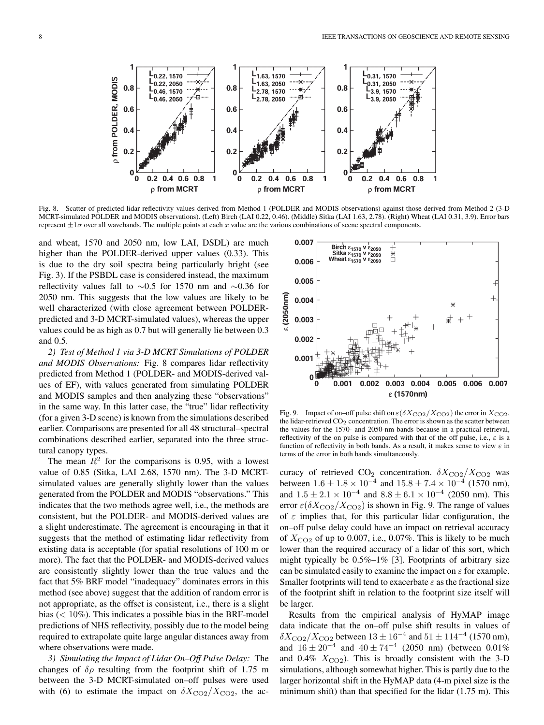

Fig. 8. Scatter of predicted lidar reflectivity values derived from Method 1 (POLDER and MODIS observations) against those derived from Method 2 (3-D MCRT-simulated POLDER and MODIS observations). (Left) Birch (LAI 0.22, 0.46). (Middle) Sitka (LAI 1.63, 2.78). (Right) Wheat (LAI 0.31, 3.9). Error bars represent  $\pm 1\sigma$  over all wavebands. The multiple points at each x value are the various combinations of scene spectral components.

and wheat, 1570 and 2050 nm, low LAI, DSDL) are much higher than the POLDER-derived upper values (0.33). This is due to the dry soil spectra being particularly bright (see Fig. 3). If the PSBDL case is considered instead, the maximum reflectivity values fall to ∼0.5 for 1570 nm and ∼0.36 for 2050 nm. This suggests that the low values are likely to be well characterized (with close agreement between POLDERpredicted and 3-D MCRT-simulated values), whereas the upper values could be as high as 0.7 but will generally lie between 0.3 and 0.5.

*2) Test of Method 1 via 3-D MCRT Simulations of POLDER and MODIS Observations:* Fig. 8 compares lidar reflectivity predicted from Method 1 (POLDER- and MODIS-derived values of EF), with values generated from simulating POLDER and MODIS samples and then analyzing these "observations" in the same way. In this latter case, the "true" lidar reflectivity (for a given 3-D scene) is known from the simulations described earlier. Comparisons are presented for all 48 structural–spectral combinations described earlier, separated into the three structural canopy types.

The mean  $R^2$  for the comparisons is 0.95, with a lowest value of 0.85 (Sitka, LAI 2.68, 1570 nm). The 3-D MCRTsimulated values are generally slightly lower than the values generated from the POLDER and MODIS "observations." This indicates that the two methods agree well, i.e., the methods are consistent, but the POLDER- and MODIS-derived values are a slight underestimate. The agreement is encouraging in that it suggests that the method of estimating lidar reflectivity from existing data is acceptable (for spatial resolutions of 100 m or more). The fact that the POLDER- and MODIS-derived values are consistently slightly lower than the true values and the fact that 5% BRF model "inadequacy" dominates errors in this method (see above) suggest that the addition of random error is not appropriate, as the offset is consistent, i.e., there is a slight bias  $(< 10\%)$ . This indicates a possible bias in the BRF-model predictions of NHS reflectivity, possibly due to the model being required to extrapolate quite large angular distances away from where observations were made.

*3) Simulating the Impact of Lidar On–Off Pulse Delay:* The changes of  $\delta \rho$  resulting from the footprint shift of 1.75 m between the 3-D MCRT-simulated on–off pulses were used with (6) to estimate the impact on  $\delta X_{\text{CO2}}/X_{\text{CO2}}$ , the ac-



Fig. 9. Impact of on–off pulse shift on  $\varepsilon(\delta X_{\rm CO2}/X_{\rm CO2})$  the error in  $X_{\rm CO2}$ , the lidar-retrieved  $CO<sub>2</sub>$  concentration. The error is shown as the scatter between the values for the 1570- and 2050-nm bands because in a practical retrieval, reflectivity of the on pulse is compared with that of the off pulse, i.e.,  $\varepsilon$  is a function of reflectivity in both bands. As a result, it makes sense to view  $\varepsilon$  in terms of the error in both bands simultaneously.

curacy of retrieved  $CO_2$  concentration.  $\delta X_{\rm CO2}/X_{\rm CO2}$  was between  $1.6 \pm 1.8 \times 10^{-4}$  and  $15.8 \pm 7.4 \times 10^{-4}$  (1570 nm), and  $1.5 \pm 2.1 \times 10^{-4}$  and  $8.8 \pm 6.1 \times 10^{-4}$  (2050 nm). This error  $\varepsilon(\delta X_{\rm CO2}/X_{\rm CO2})$  is shown in Fig. 9. The range of values of  $\varepsilon$  implies that, for this particular lidar configuration, the on–off pulse delay could have an impact on retrieval accuracy of  $X_{\text{CO2}}$  of up to 0.007, i.e., 0.07%. This is likely to be much lower than the required accuracy of a lidar of this sort, which might typically be  $0.5\%$ -1% [3]. Footprints of arbitrary size can be simulated easily to examine the impact on  $\varepsilon$  for example. Smaller footprints will tend to exacerbate  $\varepsilon$  as the fractional size of the footprint shift in relation to the footprint size itself will be larger.

Results from the empirical analysis of HyMAP image data indicate that the on–off pulse shift results in values of  $\delta X_{\rm CO2}/X_{\rm CO2}$  between  $13 \pm 16^{-4}$  and  $51 \pm 114^{-4}$  (1570 nm), and  $16 \pm 20^{-4}$  and  $40 \pm 74^{-4}$  (2050 nm) (between 0.01% and 0.4%  $X_{CO2}$ ). This is broadly consistent with the 3-D simulations, although somewhat higher. This is partly due to the larger horizontal shift in the HyMAP data (4-m pixel size is the minimum shift) than that specified for the lidar (1.75 m). This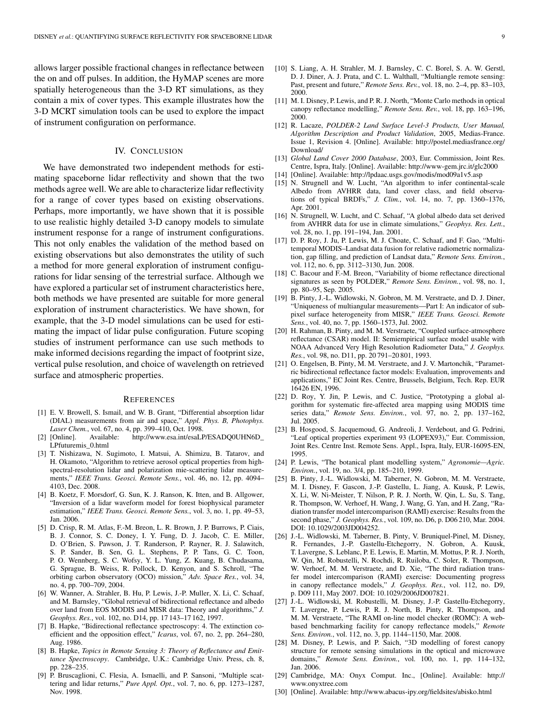allows larger possible fractional changes in reflectance between the on and off pulses. In addition, the HyMAP scenes are more spatially heterogeneous than the 3-D RT simulations, as they contain a mix of cover types. This example illustrates how the 3-D MCRT simulation tools can be used to explore the impact of instrument configuration on performance.

## IV. CONCLUSION

We have demonstrated two independent methods for estimating spaceborne lidar reflectivity and shown that the two methods agree well. We are able to characterize lidar reflectivity for a range of cover types based on existing observations. Perhaps, more importantly, we have shown that it is possible to use realistic highly detailed 3-D canopy models to simulate instrument response for a range of instrument configurations. This not only enables the validation of the method based on existing observations but also demonstrates the utility of such a method for more general exploration of instrument configurations for lidar sensing of the terrestrial surface. Although we have explored a particular set of instrument characteristics here, both methods we have presented are suitable for more general exploration of instrument characteristics. We have shown, for example, that the 3-D model simulations can be used for estimating the impact of lidar pulse configuration. Future scoping studies of instrument performance can use such methods to make informed decisions regarding the impact of footprint size, vertical pulse resolution, and choice of wavelength on retrieved surface and atmospheric properties.

#### **REFERENCES**

- [1] E. V. Browell, S. Ismail, and W. B. Grant, "Differential absorption lidar (DIAL) measurements from air and space," *Appl. Phys. B, Photophys.*
- *Laser Chem.*, vol. 67, no. 4, pp. 399–410, Oct. 1998.<br>[2] [Online]. Available: http://www.esa.int/esaLI Available: http://www.esa.int/esaLP/ESADQ0UHN6D\_ LPfuturemis\_0.html
- [3] T. Nishizawa, N. Sugimoto, I. Matsui, A. Shimizu, B. Tatarov, and H. Okamoto, "Algorithm to retrieve aerosol optical properties from highspectral-resolution lidar and polarization mie-scattering lidar measurements," *IEEE Trans. Geosci. Remote Sens.*, vol. 46, no. 12, pp. 4094– 4103, Dec. 2008.
- [4] B. Koetz, F. Morsdorf, G. Sun, K. J. Ranson, K. Itten, and B. Allgower, "Inversion of a lidar waveform model for forest biophysical parameter estimation," *IEEE Trans. Geosci. Remote Sens.*, vol. 3, no. 1, pp. 49–53, Jan. 2006.
- [5] D. Crisp, R. M. Atlas, F.-M. Breon, L. R. Brown, J. P. Burrows, P. Ciais, B. J. Connor, S. C. Doney, I. Y. Fung, D. J. Jacob, C. E. Miller, D. O'Brien, S. Pawson, J. T. Randerson, P. Rayner, R. J. Salawitch, S. P. Sander, B. Sen, G. L. Stephens, P. P. Tans, G. C. Toon, P. O. Wennberg, S. C. Wofsy, Y. L. Yung, Z. Kuang, B. Chudasama, G. Sprague, B. Weiss, R. Pollock, D. Kenyon, and S. Schroll, "The orbiting carbon observatory (OCO) mission," *Adv. Space Res.*, vol. 34, no. 4, pp. 700–709, 2004.
- [6] W. Wanner, A. Strahler, B. Hu, P. Lewis, J.-P. Muller, X. Li, C. Schaaf, and M. Barnsley, "Global retrieval of bidirectional reflectance and albedo over land from EOS MODIS and MISR data: Theory and algorithms," *J. Geophys. Res.*, vol. 102, no. D14, pp. 17 143–17 162, 1997.
- [7] B. Hapke, "Bidirectional reflectance spectroscopy: 4. The extinction coefficient and the opposition effect," *Icarus*, vol. 67, no. 2, pp. 264–280, Aug. 1986.
- [8] B. Hapke, *Topics in Remote Sensing 3: Theory of Reflectance and Emittance Spectroscopy*. Cambridge, U.K.: Cambridge Univ. Press, ch. 8, pp. 228–235.
- [9] P. Bruscaglioni, C. Flesia, A. Ismaelli, and P. Sansoni, "Multiple scattering and lidar returns," *Pure Appl. Opt.*, vol. 7, no. 6, pp. 1273–1287, Nov. 1998.
- [10] S. Liang, A. H. Strahler, M. J. Barnsley, C. C. Borel, S. A. W. Gerstl, D. J. Diner, A. J. Prata, and C. L. Walthall, "Multiangle remote sensing: Past, present and future," *Remote Sens. Rev.*, vol. 18, no. 2–4, pp. 83–103, 2000.
- [11] M. I. Disney, P. Lewis, and P. R. J. North, "Monte Carlo methods in optical canopy reflectance modelling," *Remote Sens. Rev.*, vol. 18, pp. 163–196, 2000.
- [12] R. Lacaze, *POLDER-2 Land Surface Level-3 Products, User Manual, Algorithm Description and Product Validation*, 2005, Medias-France. Issue 1, Revision 4. [Online]. Available: http://postel.mediasfrance.org/ Download/
- [13] *Global Land Cover 2000 Database*, 2003, Eur. Commission, Joint Res. Centre, Ispra, Italy. [Online]. Available: http://www-gem.jrc.it/glc2000
- [14] [Online]. Available: http://lpdaac.usgs.gov/modis/mod09a1v5.asp
- [15] N. Strugnell and W. Lucht, "An algorithm to infer continental-scale Albedo from AVHRR data, land cover class, and field observations of typical BRDFs," *J. Clim.*, vol. 14, no. 7, pp. 1360–1376, Apr. 2001.
- [16] N. Strugnell, W. Lucht, and C. Schaaf, "A global albedo data set derived from AVHRR data for use in climate simulations," *Geophys. Res. Lett.*, vol. 28, no. 1, pp. 191–194, Jan. 2001.
- [17] D. P. Roy, J. Ju, P. Lewis, M. J. Choate, C. Schaaf, and F. Gao, "Multitemporal MODIS–Landsat data fusion for relative radiometric normalization, gap filling, and prediction of Landsat data," *Remote Sens. Environ.*, vol. 112, no. 6, pp. 3112–3130, Jun. 2008.
- [18] C. Bacour and F.-M. Breon, "Variability of biome reflectance directional signatures as seen by POLDER," *Remote Sens. Environ.*, vol. 98, no. 1, pp. 80–95, Sep. 2005.
- [19] B. Pinty, J.-L. Widlowski, N. Gobron, M. M. Verstraete, and D. J. Diner, "Uniqueness of multiangular measurements—Part I: An indicator of subpixel surface heterogeneity from MISR," *IEEE Trans. Geosci. Remote Sens.*, vol. 40, no. 7, pp. 1560–1573, Jul. 2002.
- [20] H. Rahman, B. Pinty, and M. M. Verstraete, "Coupled surface-atmosphere reflectance (CSAR) model. II: Semiempirical surface model usable with NOAA Advanced Very High Resolution Radiometer Data," *J. Geophys. Res.*, vol. 98, no. D11, pp. 20 791–20 801, 1993.
- [21] O. Engelsen, B. Pinty, M. M. Verstraete, and J. V. Martonchik, "Parametric bidirectional reflectance factor models: Evaluation, improvements and applications," EC Joint Res. Centre, Brussels, Belgium, Tech. Rep. EUR 16426 EN, 1996.
- [22] D. Roy, Y. Jin, P. Lewis, and C. Justice, "Prototyping a global algorithm for systematic fire-affected area mapping using MODIS time series data," *Remote Sens. Environ.*, vol. 97, no. 2, pp. 137–162, Jul. 2005.
- [23] B. Hosgood, S. Jacquemoud, G. Andreoli, J. Verdebout, and G. Pedrini, "Leaf optical properties experiment 93 (LOPEX93)," Eur. Commission, Joint Res. Centre Inst. Remote Sens. Appl., Ispra, Italy, EUR-16095-EN, 1995.
- [24] P. Lewis, "The botanical plant modelling system," *Agronomie—Agric. Environ.*, vol. 19, no. 3/4, pp. 185–210, 1999.
- [25] B. Pinty, J.-L. Widlowski, M. Taberner, N. Gobron, M. M. Verstraete, M. I. Disney, F. Gascon, J.-P. Gastellu, L. Jiang, A. Kuusk, P. Lewis, X. Li, W. Ni-Meister, T. Nilson, P. R. J. North, W. Qin, L. Su, S. Tang, R. Thompson, W. Verhoef, H. Wang, J. Wang, G. Yan, and H. Zang, "Radiation transfer model intercomparison (RAMI) exercise: Results from the second phase," *J. Geophys. Res.*, vol. 109, no. D6, p. D06 210, Mar. 2004. DOI: 10.1029/2003JD004252.
- [26] J.-L. Widlowski, M. Taberner, B. Pinty, V. Bruniquel-Pinel, M. Disney, R. Fernandes, J.-P. Gastellu-Etchegorry, N. Gobron, A. Kuusk, T. Lavergne, S. Leblanc, P. E. Lewis, E. Martin, M. Mottus, P. R. J. North, W. Qin, M. Robustelli, N. Rochdi, R. Ruiloba, C. Soler, R. Thompson, W. Verhoef, M. M. Verstraete, and D. Xie, "The third radiation transfer model intercomparison (RAMI) exercise: Documenting progress in canopy reflectance models," *J. Geophys. Res.*, vol. 112, no. D9, p. D09 111, May 2007. DOI: 10.1029/2006JD007821.
- [27] J.-L. Widlowski, M. Robustelli, M. Disney, J.-P. Gastellu-Etchegorry, T. Lavergne, P. Lewis, P. R. J. North, B. Pinty, R. Thompson, and M. M. Verstraete, "The RAMI on-line model checker (ROMC): A webbased benchmarking facility for canopy reflectance models," *Remote Sens. Environ.*, vol. 112, no. 3, pp. 1144–1150, Mar. 2008.
- [28] M. Disney, P. Lewis, and P. Saich, "3D modelling of forest canopy structure for remote sensing simulations in the optical and microwave domains," *Remote Sens. Environ.*, vol. 100, no. 1, pp. 114–132, Jan. 2006.
- [29] Cambridge, MA: Onyx Comput. Inc., [Online]. Available: http:// www.onyxtree.com
- [30] [Online]. Available: http://www.abacus-ipy.org/fieldsites/abisko.html